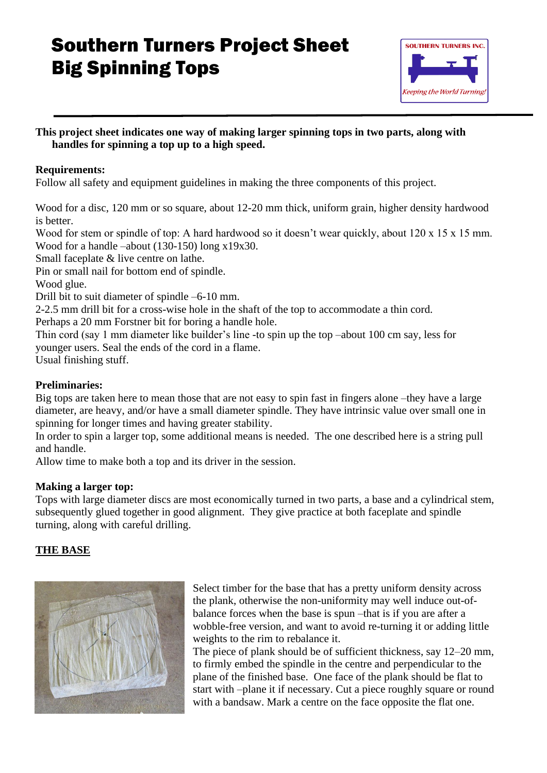# Southern Turners Project Sheet Big Spinning Tops



### **This project sheet indicates one way of making larger spinning tops in two parts, along with handles for spinning a top up to a high speed.**

# **Requirements:**

Follow all safety and equipment guidelines in making the three components of this project.

Wood for a disc, 120 mm or so square, about 12-20 mm thick, uniform grain, higher density hardwood is better.

Wood for stem or spindle of top: A hard hardwood so it doesn't wear quickly, about 120 x 15 x 15 mm. Wood for a handle –about (130-150) long x19x30.

Small faceplate & live centre on lathe.

Pin or small nail for bottom end of spindle.

Wood glue.

Drill bit to suit diameter of spindle –6-10 mm.

2-2.5 mm drill bit for a cross-wise hole in the shaft of the top to accommodate a thin cord.

Perhaps a 20 mm Forstner bit for boring a handle hole.

Thin cord (say 1 mm diameter like builder's line -to spin up the top –about 100 cm say, less for younger users. Seal the ends of the cord in a flame.

Usual finishing stuff.

#### **Preliminaries:**

Big tops are taken here to mean those that are not easy to spin fast in fingers alone –they have a large diameter, are heavy, and/or have a small diameter spindle. They have intrinsic value over small one in spinning for longer times and having greater stability.

In order to spin a larger top, some additional means is needed. The one described here is a string pull and handle.

Allow time to make both a top and its driver in the session.

#### **Making a larger top:**

Tops with large diameter discs are most economically turned in two parts, a base and a cylindrical stem, subsequently glued together in good alignment. They give practice at both faceplate and spindle turning, along with careful drilling.

# **THE BASE**



Select timber for the base that has a pretty uniform density across the plank, otherwise the non-uniformity may well induce out-ofbalance forces when the base is spun –that is if you are after a wobble-free version, and want to avoid re-turning it or adding little weights to the rim to rebalance it.

The piece of plank should be of sufficient thickness, say 12–20 mm, to firmly embed the spindle in the centre and perpendicular to the plane of the finished base. One face of the plank should be flat to start with –plane it if necessary. Cut a piece roughly square or round with a bandsaw. Mark a centre on the face opposite the flat one.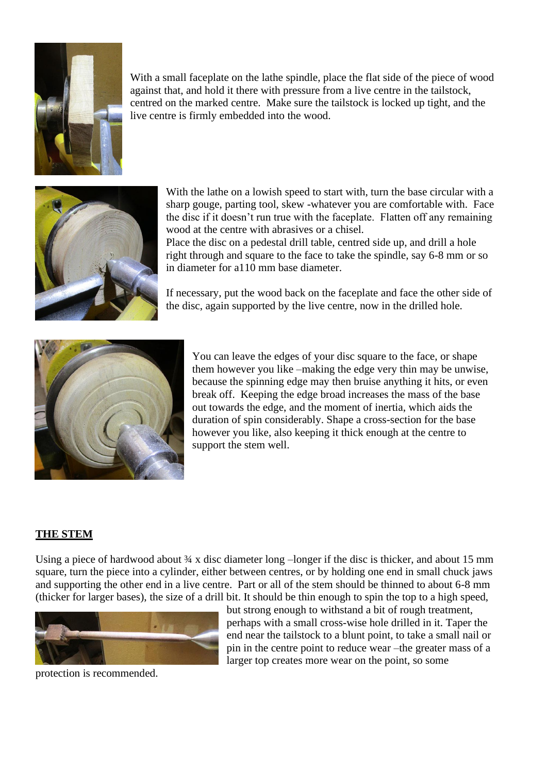

With a small faceplate on the lathe spindle, place the flat side of the piece of wood against that, and hold it there with pressure from a live centre in the tailstock, centred on the marked centre. Make sure the tailstock is locked up tight, and the live centre is firmly embedded into the wood.



With the lathe on a lowish speed to start with, turn the base circular with a sharp gouge, parting tool, skew -whatever you are comfortable with. Face the disc if it doesn't run true with the faceplate. Flatten off any remaining wood at the centre with abrasives or a chisel.

Place the disc on a pedestal drill table, centred side up, and drill a hole right through and square to the face to take the spindle, say 6-8 mm or so in diameter for a110 mm base diameter.

If necessary, put the wood back on the faceplate and face the other side of the disc, again supported by the live centre, now in the drilled hole.



You can leave the edges of your disc square to the face, or shape them however you like –making the edge very thin may be unwise, because the spinning edge may then bruise anything it hits, or even break off. Keeping the edge broad increases the mass of the base out towards the edge, and the moment of inertia, which aids the duration of spin considerably. Shape a cross-section for the base however you like, also keeping it thick enough at the centre to support the stem well.

#### **THE STEM**

Using a piece of hardwood about  $\frac{3}{4}$  x disc diameter long –longer if the disc is thicker, and about 15 mm square, turn the piece into a cylinder, either between centres, or by holding one end in small chuck jaws and supporting the other end in a live centre. Part or all of the stem should be thinned to about 6-8 mm (thicker for larger bases), the size of a drill bit. It should be thin enough to spin the top to a high speed,



protection is recommended.

but strong enough to withstand a bit of rough treatment, perhaps with a small cross-wise hole drilled in it. Taper the end near the tailstock to a blunt point, to take a small nail or pin in the centre point to reduce wear –the greater mass of a larger top creates more wear on the point, so some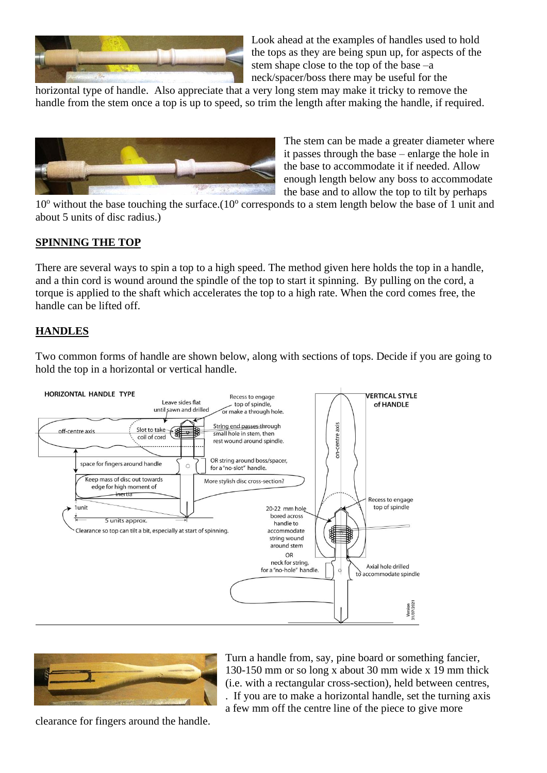

Look ahead at the examples of handles used to hold the tops as they are being spun up, for aspects of the stem shape close to the top of the base –a neck/spacer/boss there may be useful for the

horizontal type of handle. Also appreciate that a very long stem may make it tricky to remove the handle from the stem once a top is up to speed, so trim the length after making the handle, if required.



The stem can be made a greater diameter where it passes through the base – enlarge the hole in the base to accommodate it if needed. Allow enough length below any boss to accommodate the base and to allow the top to tilt by perhaps

10° without the base touching the surface.(10° corresponds to a stem length below the base of 1 unit and about 5 units of disc radius.)

#### **SPINNING THE TOP**

There are several ways to spin a top to a high speed. The method given here holds the top in a handle, and a thin cord is wound around the spindle of the top to start it spinning. By pulling on the cord, a torque is applied to the shaft which accelerates the top to a high rate. When the cord comes free, the handle can be lifted off.

#### **HANDLES**

Two common forms of handle are shown below, along with sections of tops. Decide if you are going to hold the top in a horizontal or vertical handle.





Turn a handle from, say, pine board or something fancier, 130-150 mm or so long x about 30 mm wide x 19 mm thick (i.e. with a rectangular cross-section), held between centres, . If you are to make a horizontal handle, set the turning axis a few mm off the centre line of the piece to give more

clearance for fingers around the handle.